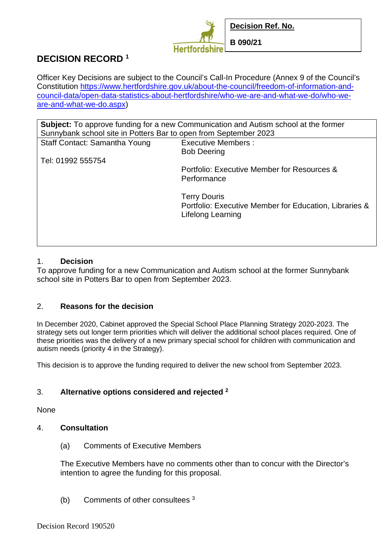

# **DECISION RECORD <sup>1</sup>**

Officer Key Decisions are subject to the Council's Call-In Procedure (Annex 9 of the Council's Constitution https://www.hertfordshire.gov.uk/about-the-council/freedom-of-information-andcouncil-data/open-data-statistics-about-hertfordshire/who-we-are-and-what-we-do/who-weare-and-what-we-do.aspx)

| <b>Subject:</b> To approve funding for a new Communication and Autism school at the former<br>Sunnybank school site in Potters Bar to open from September 2023 |                                                        |
|----------------------------------------------------------------------------------------------------------------------------------------------------------------|--------------------------------------------------------|
| Staff Contact: Samantha Young                                                                                                                                  | <b>Executive Members:</b>                              |
|                                                                                                                                                                | <b>Bob Deering</b>                                     |
| Tel: 01992 555754                                                                                                                                              |                                                        |
|                                                                                                                                                                | Portfolio: Executive Member for Resources &            |
|                                                                                                                                                                | Performance                                            |
|                                                                                                                                                                | <b>Terry Douris</b>                                    |
|                                                                                                                                                                | Portfolio: Executive Member for Education, Libraries & |
|                                                                                                                                                                | Lifelong Learning                                      |
|                                                                                                                                                                |                                                        |
|                                                                                                                                                                |                                                        |
|                                                                                                                                                                |                                                        |

## 1. **Decision**

To approve funding for a new Communication and Autism school at the former Sunnybank school site in Potters Bar to open from September 2023.

## 2. **Reasons for the decision**

In December 2020, Cabinet approved the Special School Place Planning Strategy 2020-2023. The strategy sets out longer term priorities which will deliver the additional school places required. One of these priorities was the delivery of a new primary special school for children with communication and autism needs (priority 4 in the Strategy).

This decision is to approve the funding required to deliver the new school from September 2023.

## 3. **Alternative options considered and rejected <sup>2</sup>**

None

## 4. **Consultation**

(a) Comments of Executive Members

The Executive Members have no comments other than to concur with the Director's intention to agree the funding for this proposal.

(b) Comments of other consultees 3